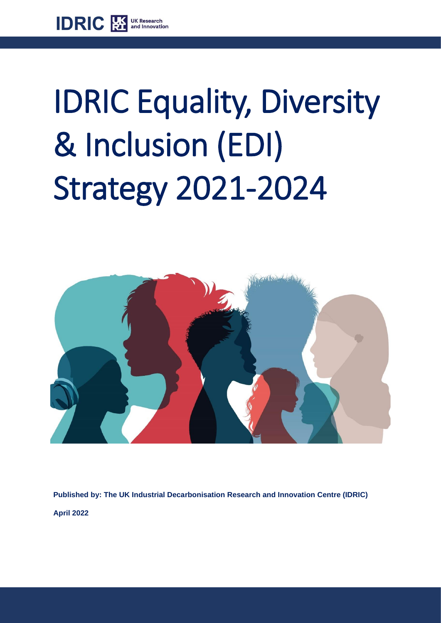

# IDRIC Equality, Diversity & Inclusion (EDI) Strategy 2021-2024



**Published by: The UK Industrial Decarbonisation Research and Innovation Centre (IDRIC) April 2022**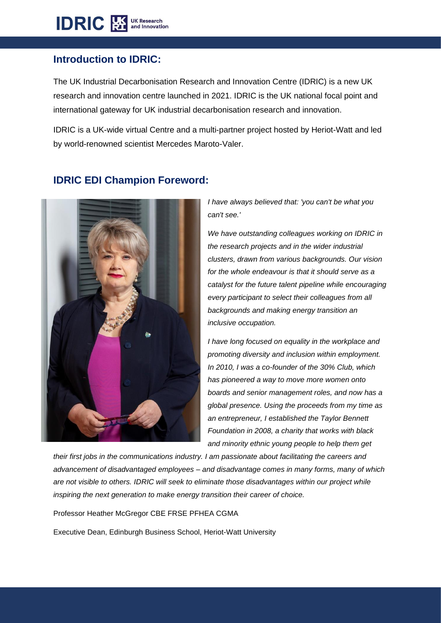#### **Introduction to IDRIC:**

The UK Industrial Decarbonisation Research and Innovation Centre (IDRIC) is a new UK research and innovation centre launched in 2021. IDRIC is the UK national focal point and international gateway for UK industrial decarbonisation research and innovation.

IDRIC is a UK-wide virtual Centre and a multi-partner project hosted by Heriot-Watt and led by world-renowned scientist Mercedes Maroto-Valer.



## **IDRIC EDI Champion Foreword:**

*I have always believed that: 'you can't be what you can't see.'*

*We have outstanding colleagues working on IDRIC in the research projects and in the wider industrial clusters, drawn from various backgrounds. Our vision for the whole endeavour is that it should serve as a catalyst for the future talent pipeline while encouraging every participant to select their colleagues from all backgrounds and making energy transition an inclusive occupation.* 

*I have long focused on equality in the workplace and promoting diversity and inclusion within employment. In 2010, I was a co-founder of the 30% Club, which has pioneered a way to move more women onto boards and senior management roles, and now has a global presence. Using the proceeds from my time as an entrepreneur, I established the Taylor Bennett Foundation in 2008, a charity that works with black and minority ethnic young people to help them get* 

*their first jobs in the communications industry. I am passionate about facilitating the careers and advancement of disadvantaged employees – and disadvantage comes in many forms, many of which are not visible to others. IDRIC will seek to eliminate those disadvantages within our project while inspiring the next generation to make energy transition their career of choice.*

Professor Heather McGregor CBE FRSE PFHEA CGMA

Executive Dean, Edinburgh Business School, Heriot-Watt University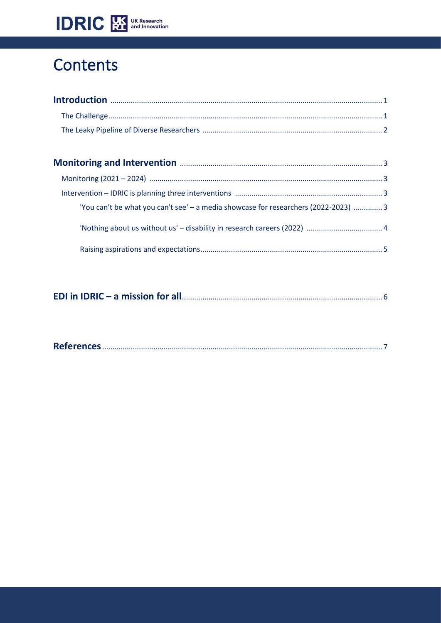

# Contents

| 'You can't be what you can't see' - a media showcase for researchers (2022-2023)  3 |  |
|-------------------------------------------------------------------------------------|--|
|                                                                                     |  |
|                                                                                     |  |

|--|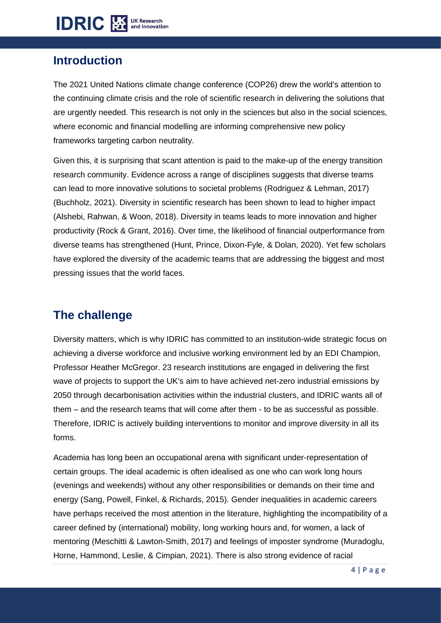

## **Introduction**

The 2021 United Nations climate change conference (COP26) drew the world's attention to the continuing climate crisis and the role of scientific research in delivering the solutions that are urgently needed. This research is not only in the sciences but also in the social sciences, where economic and financial modelling are informing comprehensive new policy frameworks targeting carbon neutrality.

Given this, it is surprising that scant attention is paid to the make-up of the energy transition research community. Evidence across a range of disciplines suggests that diverse teams can lead to more innovative solutions to societal problems (Rodriguez & Lehman, 2017) (Buchholz, 2021). Diversity in scientific research has been shown to lead to higher impact (Alshebi, Rahwan, & Woon, 2018). Diversity in teams leads to more innovation and higher productivity (Rock & Grant, 2016). Over time, the likelihood of financial outperformance from diverse teams has strengthened (Hunt, Prince, Dixon-Fyle, & Dolan, 2020). Yet few scholars have explored the diversity of the academic teams that are addressing the biggest and most pressing issues that the world faces.

## **The challenge**

Diversity matters, which is why IDRIC has committed to an institution-wide strategic focus on achieving a diverse workforce and inclusive working environment led by an EDI Champion, Professor Heather McGregor. 23 research institutions are engaged in delivering the first wave of projects to support the UK's aim to have achieved net-zero industrial emissions by 2050 through decarbonisation activities within the industrial clusters, and IDRIC wants all of them – and the research teams that will come after them - to be as successful as possible. Therefore, IDRIC is actively building interventions to monitor and improve diversity in all its forms.

Academia has long been an occupational arena with significant under-representation of certain groups. The ideal academic is often idealised as one who can work long hours (evenings and weekends) without any other responsibilities or demands on their time and energy (Sang, Powell, Finkel, & Richards, 2015). Gender inequalities in academic careers have perhaps received the most attention in the literature, highlighting the incompatibility of a career defined by (international) mobility, long working hours and, for women, a lack of mentoring (Meschitti & Lawton-Smith, 2017) and feelings of imposter syndrome (Muradoglu, Horne, Hammond, Leslie, & Cimpian, 2021). There is also strong evidence of racial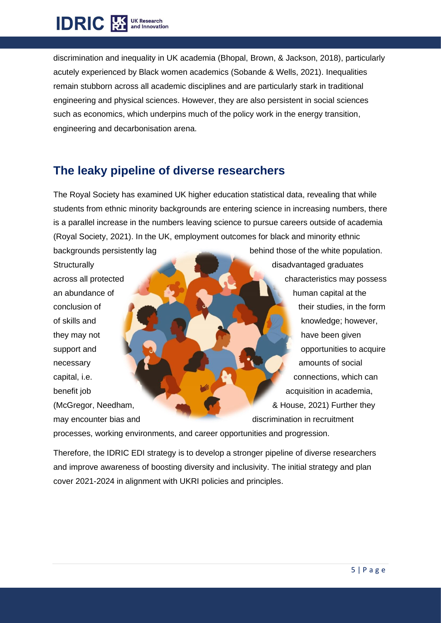# **IDRIC** EX DK Research

discrimination and inequality in UK academia (Bhopal, Brown, & Jackson, 2018), particularly acutely experienced by Black women academics (Sobande & Wells, 2021). Inequalities remain stubborn across all academic disciplines and are particularly stark in traditional engineering and physical sciences. However, they are also persistent in social sciences such as economics, which underpins much of the policy work in the energy transition, engineering and decarbonisation arena.

# **The leaky pipeline of diverse researchers**

The Royal Society has examined UK higher education statistical data, revealing that while students from ethnic minority backgrounds are entering science in increasing numbers, there is a parallel increase in the numbers leaving science to pursue careers outside of academia (Royal Society, 2021). In the UK, employment outcomes for black and minority ethnic

backgrounds persistently lag behind those of the white population. Structurally **disadvantaged graduates** disadvantaged graduates across all protected across all protected characteristics may possess an abundance of human capital at the conclusion of their studies, in the form of skills and **knowledge; however,** however, they may not have been given support and **opportunities to acquire** necessary amounts of social amounts of social capital, i.e. **capital, i.e.** connections, which can benefit job **benefit job** acquisition in academia, (McGregor, Needham, & House, 2021) Further they may encounter bias and discrimination in recruitment

processes, working environments, and career opportunities and progression.

Therefore, the IDRIC EDI strategy is to develop a stronger pipeline of diverse researchers and improve awareness of boosting diversity and inclusivity. The initial strategy and plan cover 2021-2024 in alignment with UKRI policies and principles.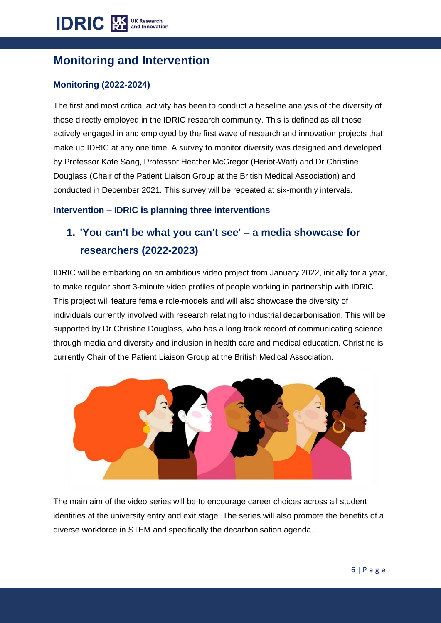# **Monitoring and Intervention**

#### **Monitoring (2022-2024)**

The first and most critical activity has been to conduct a baseline analysis of the diversity of those directly employed in the IDRIC research community. This is defined as all those actively engaged in and employed by the first wave of research and innovation projects that make up IDRIC at any one time. A survey to monitor diversity was designed and developed by Professor Kate Sang, Professor Heather McGregor (Heriot-Watt) and Dr Christine Douglass (Chair of the Patient Liaison Group at the British Medical Association) and conducted in December 2021. This survey will be repeated at six-monthly intervals.

#### **Intervention – IDRIC is planning three interventions**

# **1. 'You can't be what you can't see' – a media showcase for researchers (2022-2023)**

IDRIC will be embarking on an ambitious video project from January 2022, initially for a year, to make regular short 3-minute video profiles of people working in partnership with IDRIC. This project will feature female role-models and will also showcase the diversity of individuals currently involved with research relating to industrial decarbonisation. This will be supported by Dr Christine Douglass, who has a long track record of communicating science through media and diversity and inclusion in health care and medical education. Christine is currently Chair of the Patient Liaison Group at the British Medical Association.



The main aim of the video series will be to encourage career choices across all student identities at the university entry and exit stage. The series will also promote the benefits of a diverse workforce in STEM and specifically the decarbonisation agenda.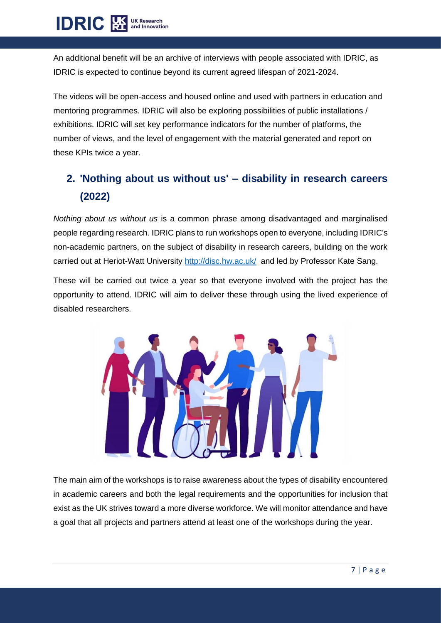**IDRIC 图 UK Research** 

An additional benefit will be an archive of interviews with people associated with IDRIC, as IDRIC is expected to continue beyond its current agreed lifespan of 2021-2024.

The videos will be open-access and housed online and used with partners in education and mentoring programmes. IDRIC will also be exploring possibilities of public installations / exhibitions. IDRIC will set key performance indicators for the number of platforms, the number of views, and the level of engagement with the material generated and report on these KPIs twice a year.

# **2. 'Nothing about us without us' – disability in research careers (2022)**

*Nothing about us without us* is a common phrase among disadvantaged and marginalised people regarding research. IDRIC plans to run workshops open to everyone, including IDRIC's non-academic partners, on the subject of disability in research careers, building on the work carried out at Heriot-Watt University<http://disc.hw.ac.uk/> and led by Professor Kate Sang.

These will be carried out twice a year so that everyone involved with the project has the opportunity to attend. IDRIC will aim to deliver these through using the lived experience of disabled researchers.



The main aim of the workshops is to raise awareness about the types of disability encountered in academic careers and both the legal requirements and the opportunities for inclusion that exist as the UK strives toward a more diverse workforce. We will monitor attendance and have a goal that all projects and partners attend at least one of the workshops during the year.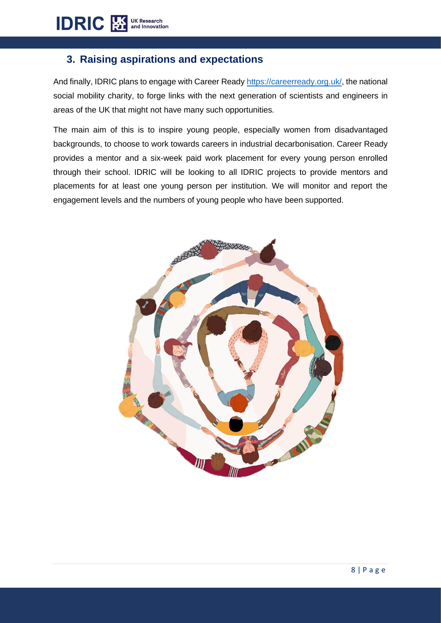#### **3. Raising aspirations and expectations**

And finally, IDRIC plans to engage with Career Ready [https://careerready.org.uk/,](https://careerready.org.uk/) the national social mobility charity, to forge links with the next generation of scientists and engineers in areas of the UK that might not have many such opportunities.

The main aim of this is to inspire young people, especially women from disadvantaged backgrounds, to choose to work towards careers in industrial decarbonisation. Career Ready provides a mentor and a six-week paid work placement for every young person enrolled through their school. IDRIC will be looking to all IDRIC projects to provide mentors and placements for at least one young person per institution. We will monitor and report the engagement levels and the numbers of young people who have been supported.

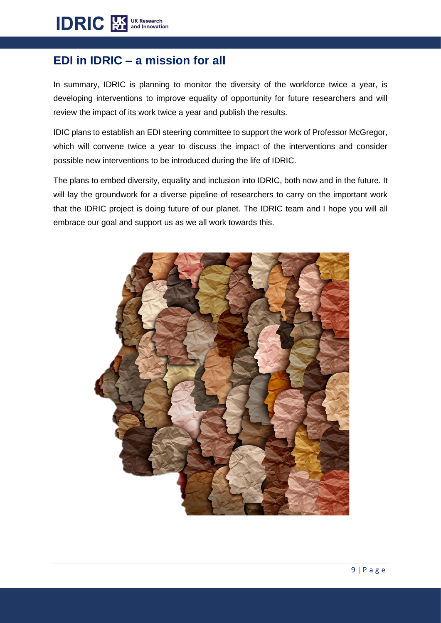# **EDI in IDRIC – a mission for all**

In summary, IDRIC is planning to monitor the diversity of the workforce twice a year, is developing interventions to improve equality of opportunity for future researchers and will review the impact of its work twice a year and publish the results.

IDIC plans to establish an EDI steering committee to support the work of Professor McGregor, which will convene twice a year to discuss the impact of the interventions and consider possible new interventions to be introduced during the life of IDRIC.

The plans to embed diversity, equality and inclusion into IDRIC, both now and in the future. It will lay the groundwork for a diverse pipeline of researchers to carry on the important work that the IDRIC project is doing future of our planet. The IDRIC team and I hope you will all embrace our goal and support us as we all work towards this.